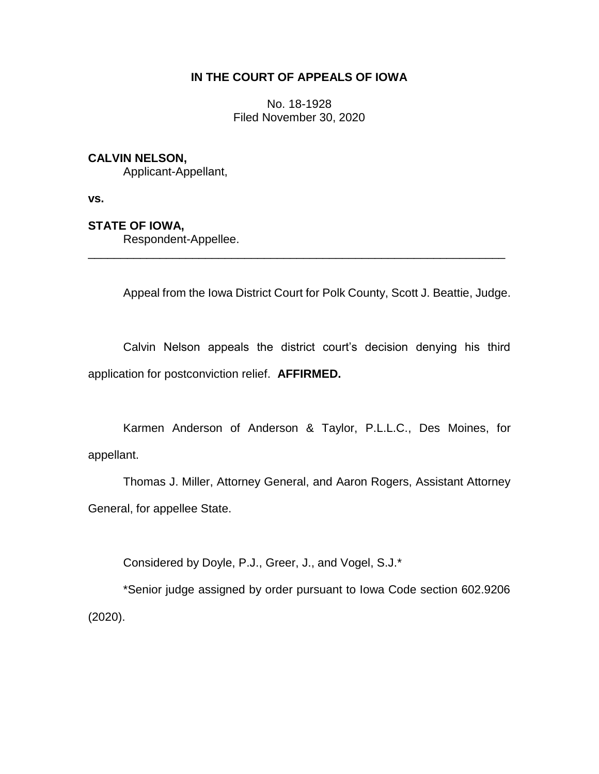# **IN THE COURT OF APPEALS OF IOWA**

No. 18-1928 Filed November 30, 2020

## **CALVIN NELSON,**

Applicant-Appellant,

**vs.**

## **STATE OF IOWA,**

Respondent-Appellee.

Appeal from the Iowa District Court for Polk County, Scott J. Beattie, Judge.

Calvin Nelson appeals the district court's decision denying his third application for postconviction relief. **AFFIRMED.**

\_\_\_\_\_\_\_\_\_\_\_\_\_\_\_\_\_\_\_\_\_\_\_\_\_\_\_\_\_\_\_\_\_\_\_\_\_\_\_\_\_\_\_\_\_\_\_\_\_\_\_\_\_\_\_\_\_\_\_\_\_\_\_\_

Karmen Anderson of Anderson & Taylor, P.L.L.C., Des Moines, for appellant.

Thomas J. Miller, Attorney General, and Aaron Rogers, Assistant Attorney General, for appellee State.

Considered by Doyle, P.J., Greer, J., and Vogel, S.J.\*

\*Senior judge assigned by order pursuant to Iowa Code section 602.9206 (2020).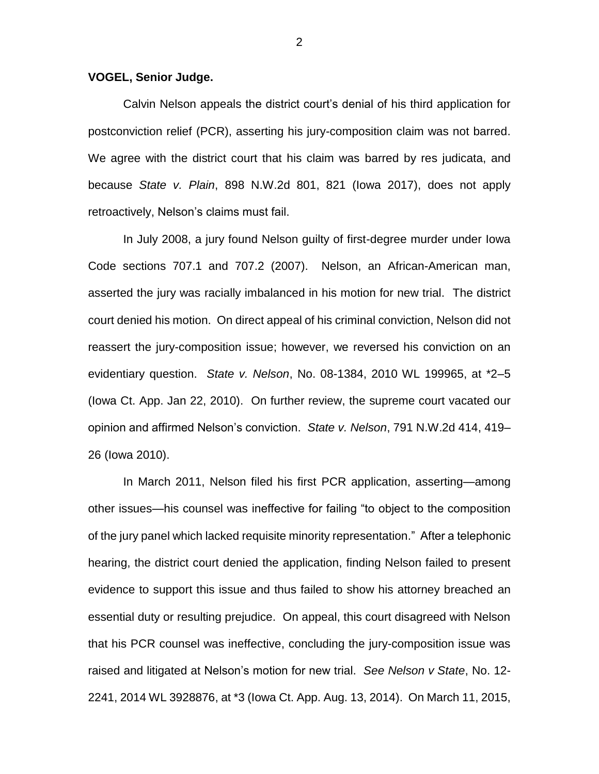#### **VOGEL, Senior Judge.**

Calvin Nelson appeals the district court's denial of his third application for postconviction relief (PCR), asserting his jury-composition claim was not barred. We agree with the district court that his claim was barred by res judicata, and because *State v. Plain*, 898 N.W.2d 801, 821 (Iowa 2017), does not apply retroactively, Nelson's claims must fail.

In July 2008, a jury found Nelson guilty of first-degree murder under Iowa Code sections 707.1 and 707.2 (2007). Nelson, an African-American man, asserted the jury was racially imbalanced in his motion for new trial. The district court denied his motion. On direct appeal of his criminal conviction, Nelson did not reassert the jury-composition issue; however, we reversed his conviction on an evidentiary question. *State v. Nelson*, No. 08-1384, 2010 WL 199965, at \*2–5 (Iowa Ct. App. Jan 22, 2010). On further review, the supreme court vacated our opinion and affirmed Nelson's conviction. *State v. Nelson*, 791 N.W.2d 414, 419– 26 (Iowa 2010).

In March 2011, Nelson filed his first PCR application, asserting—among other issues—his counsel was ineffective for failing "to object to the composition of the jury panel which lacked requisite minority representation." After a telephonic hearing, the district court denied the application, finding Nelson failed to present evidence to support this issue and thus failed to show his attorney breached an essential duty or resulting prejudice. On appeal, this court disagreed with Nelson that his PCR counsel was ineffective, concluding the jury-composition issue was raised and litigated at Nelson's motion for new trial. *See Nelson v State*, No. 12- 2241, 2014 WL 3928876, at \*3 (Iowa Ct. App. Aug. 13, 2014). On March 11, 2015,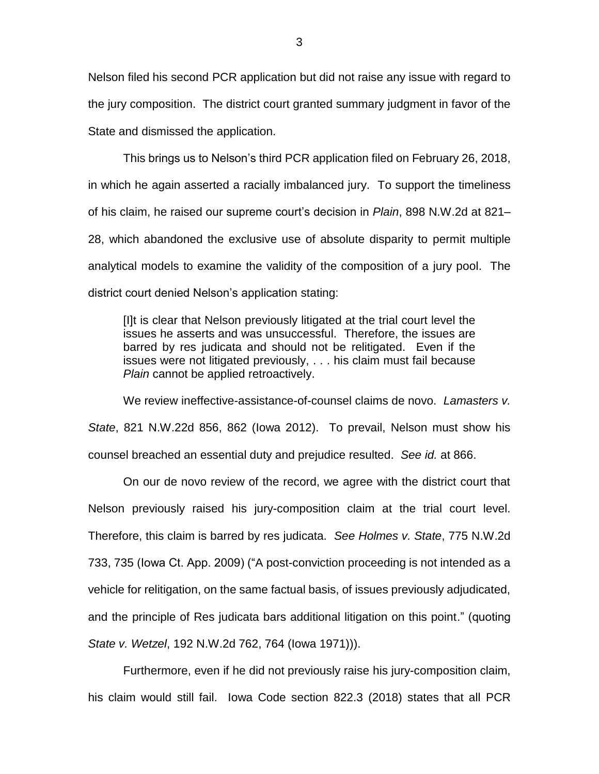Nelson filed his second PCR application but did not raise any issue with regard to the jury composition. The district court granted summary judgment in favor of the State and dismissed the application.

This brings us to Nelson's third PCR application filed on February 26, 2018, in which he again asserted a racially imbalanced jury. To support the timeliness of his claim, he raised our supreme court's decision in *Plain*, 898 N.W.2d at 821– 28, which abandoned the exclusive use of absolute disparity to permit multiple analytical models to examine the validity of the composition of a jury pool. The district court denied Nelson's application stating:

[I]t is clear that Nelson previously litigated at the trial court level the issues he asserts and was unsuccessful. Therefore, the issues are barred by res judicata and should not be relitigated. Even if the issues were not litigated previously, . . . his claim must fail because *Plain* cannot be applied retroactively.

We review ineffective-assistance-of-counsel claims de novo. *Lamasters v. State*, 821 N.W.22d 856, 862 (Iowa 2012). To prevail, Nelson must show his counsel breached an essential duty and prejudice resulted. *See id.* at 866.

On our de novo review of the record, we agree with the district court that Nelson previously raised his jury-composition claim at the trial court level. Therefore, this claim is barred by res judicata. *See Holmes v. State*, 775 N.W.2d 733, 735 (Iowa Ct. App. 2009) ("A post-conviction proceeding is not intended as a vehicle for relitigation, on the same factual basis, of issues previously adjudicated, and the principle of Res judicata bars additional litigation on this point." (quoting *State v. Wetzel*, 192 N.W.2d 762, 764 (Iowa 1971))).

Furthermore, even if he did not previously raise his jury-composition claim, his claim would still fail. Iowa Code section 822.3 (2018) states that all PCR